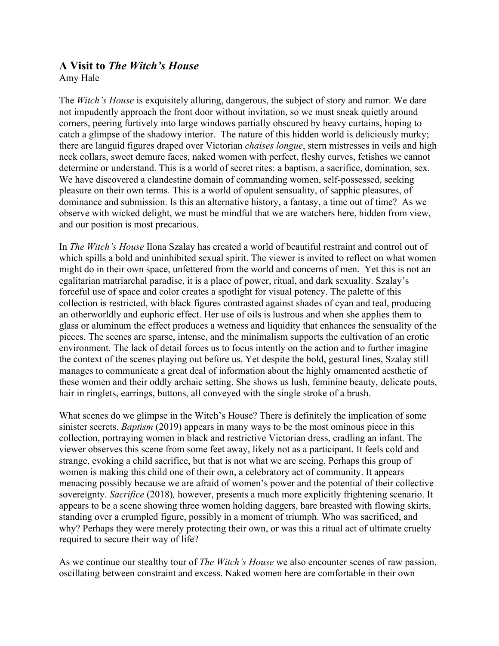## **A Visit to** *The Witch's House*

Amy Hale

The *Witch's House* is exquisitely alluring, dangerous, the subject of story and rumor. We dare not impudently approach the front door without invitation, so we must sneak quietly around corners, peering furtively into large windows partially obscured by heavy curtains, hoping to catch a glimpse of the shadowy interior. The nature of this hidden world is deliciously murky; there are languid figures draped over Victorian *chaises longue*, stern mistresses in veils and high neck collars, sweet demure faces, naked women with perfect, fleshy curves, fetishes we cannot determine or understand. This is a world of secret rites: a baptism, a sacrifice, domination, sex. We have discovered a clandestine domain of commanding women, self-possessed, seeking pleasure on their own terms. This is a world of opulent sensuality, of sapphic pleasures, of dominance and submission. Is this an alternative history, a fantasy, a time out of time? As we observe with wicked delight, we must be mindful that we are watchers here, hidden from view, and our position is most precarious.

In *The Witch's House* Ilona Szalay has created a world of beautiful restraint and control out of which spills a bold and uninhibited sexual spirit. The viewer is invited to reflect on what women might do in their own space, unfettered from the world and concerns of men. Yet this is not an egalitarian matriarchal paradise, it is a place of power, ritual, and dark sexuality. Szalay's forceful use of space and color creates a spotlight for visual potency. The palette of this collection is restricted, with black figures contrasted against shades of cyan and teal, producing an otherworldly and euphoric effect. Her use of oils is lustrous and when she applies them to glass or aluminum the effect produces a wetness and liquidity that enhances the sensuality of the pieces. The scenes are sparse, intense, and the minimalism supports the cultivation of an erotic environment. The lack of detail forces us to focus intently on the action and to further imagine the context of the scenes playing out before us. Yet despite the bold, gestural lines, Szalay still manages to communicate a great deal of information about the highly ornamented aesthetic of these women and their oddly archaic setting. She shows us lush, feminine beauty, delicate pouts, hair in ringlets, earrings, buttons, all conveyed with the single stroke of a brush.

What scenes do we glimpse in the Witch's House? There is definitely the implication of some sinister secrets. *Baptism* (2019) appears in many ways to be the most ominous piece in this collection, portraying women in black and restrictive Victorian dress, cradling an infant. The viewer observes this scene from some feet away, likely not as a participant. It feels cold and strange, evoking a child sacrifice, but that is not what we are seeing. Perhaps this group of women is making this child one of their own, a celebratory act of community. It appears menacing possibly because we are afraid of women's power and the potential of their collective sovereignty. *Sacrifice* (2018)*,* however, presents a much more explicitly frightening scenario. It appears to be a scene showing three women holding daggers, bare breasted with flowing skirts, standing over a crumpled figure, possibly in a moment of triumph. Who was sacrificed, and why? Perhaps they were merely protecting their own, or was this a ritual act of ultimate cruelty required to secure their way of life?

As we continue our stealthy tour of *The Witch's House* we also encounter scenes of raw passion, oscillating between constraint and excess. Naked women here are comfortable in their own